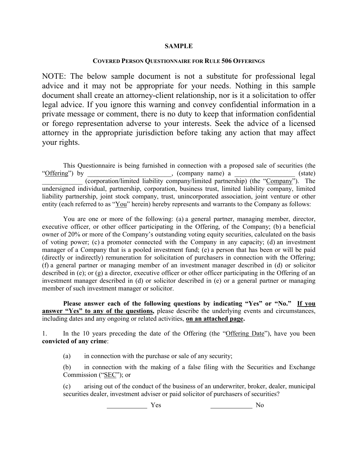## **SAMPLE**

## **COVERED PERSON QUESTIONNAIRE FOR RULE 506 OFFERINGS**

NOTE: The below sample document is not a substitute for professional legal advice and it may not be appropriate for your needs. Nothing in this sample document shall create an attorney-client relationship, nor is it a solicitation to offer legal advice. If you ignore this warning and convey confidential information in a private message or comment, there is no duty to keep that information confidential or forego representation adverse to your interests. Seek the advice of a licensed attorney in the appropriate jurisdiction before taking any action that may affect your rights.

This Questionnaire is being furnished in connection with a proposed sale of securities (the "Offering") by \_\_\_\_\_\_\_\_\_\_\_\_\_\_\_\_\_, (company name) a \_\_\_\_\_\_\_\_\_\_\_\_\_\_\_\_(state) (corporation/limited liability company/limited partnership) (the "Company"). The undersigned individual, partnership, corporation, business trust, limited liability company, limited liability partnership, joint stock company, trust, unincorporated association, joint venture or other entity (each referred to as "You" herein) hereby represents and warrants to the Company as follows:

You are one or more of the following: (a) a general partner, managing member, director, executive officer, or other officer participating in the Offering, of the Company; (b) a beneficial owner of 20% or more of the Company's outstanding voting equity securities, calculated on the basis of voting power; (c) a promoter connected with the Company in any capacity; (d) an investment manager of a Company that is a pooled investment fund; (e) a person that has been or will be paid (directly or indirectly) remuneration for solicitation of purchasers in connection with the Offering; (f) a general partner or managing member of an investment manager described in (d) or solicitor described in (e); or (g) a director, executive officer or other officer participating in the Offering of an investment manager described in (d) or solicitor described in (e) or a general partner or managing member of such investment manager or solicitor.

**Please answer each of the following questions by indicating "Yes" or "No." If you answer "Yes" to any of the questions,** please describe the underlying events and circumstances, including dates and any ongoing or related activities, **on an attached page.**

1. In the 10 years preceding the date of the Offering (the "Offering Date"), have you been **convicted of any crime**:

(a) in connection with the purchase or sale of any security;

(b) in connection with the making of a false filing with the Securities and Exchange Commission ("SEC"); or

(c) arising out of the conduct of the business of an underwriter, broker, dealer, municipal securities dealer, investment adviser or paid solicitor of purchasers of securities?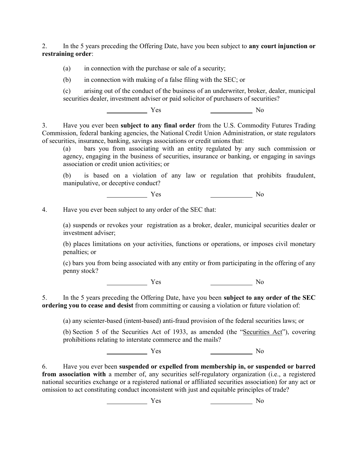2. In the 5 years preceding the Offering Date, have you been subject to **any court injunction or restraining order**:

(a) in connection with the purchase or sale of a security;

(b) in connection with making of a false filing with the SEC; or

(c) arising out of the conduct of the business of an underwriter, broker, dealer, municipal securities dealer, investment adviser or paid solicitor of purchasers of securities?

Yes No

3. Have you ever been **subject to any final order** from the U.S. Commodity Futures Trading Commission, federal banking agencies, the National Credit Union Administration, or state regulators of securities, insurance, banking, savings associations or credit unions that:

(a) bars you from associating with an entity regulated by any such commission or agency, engaging in the business of securities, insurance or banking, or engaging in savings association or credit union activities; or

(b) is based on a violation of any law or regulation that prohibits fraudulent, manipulative, or deceptive conduct?

Yes No

4. Have you ever been subject to any order of the SEC that:

(a) suspends or revokes your registration as a broker, dealer, municipal securities dealer or investment adviser;

(b) places limitations on your activities, functions or operations, or imposes civil monetary penalties; or

(c) bars you from being associated with any entity or from participating in the offering of any penny stock?

<u>Note</u> Yes Note and Note and Note and Note and Note and Note and Note and Note and Note and Note and Note and Note and Note and Note and Note and Note and Note and Note and Note and Note and Note and Note and Note and Note

5. In the 5 years preceding the Offering Date, have you been **subject to any order of the SEC ordering you to cease and desist** from committing or causing a violation or future violation of:

(a) any scienter-based (intent-based) anti-fraud provision of the federal securities laws; or

(b) Section 5 of the Securities Act of 1933, as amended (the "Securities Act"), covering prohibitions relating to interstate commerce and the mails?

Yes No

6. Have you ever been **suspended or expelled from membership in, or suspended or barred from association with** a member of, any securities self-regulatory organization (i.e., a registered national securities exchange or a registered national or affiliated securities association) for any act or omission to act constituting conduct inconsistent with just and equitable principles of trade?

Yes No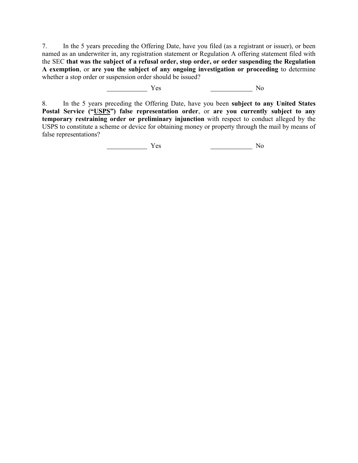7. In the 5 years preceding the Offering Date, have you filed (as a registrant or issuer), or been named as an underwriter in, any registration statement or Regulation A offering statement filed with the SEC **that was the subject of a refusal order, stop order, or order suspending the Regulation A exemption**, or **are you the subject of any ongoing investigation or proceeding** to determine whether a stop order or suspension order should be issued?

Yes No

8. In the 5 years preceding the Offering Date, have you been **subject to any United States Postal Service ("USPS") false representation order**, or **are you currently subject to any temporary restraining order or preliminary injunction** with respect to conduct alleged by the USPS to constitute a scheme or device for obtaining money or property through the mail by means of false representations?

Yes No